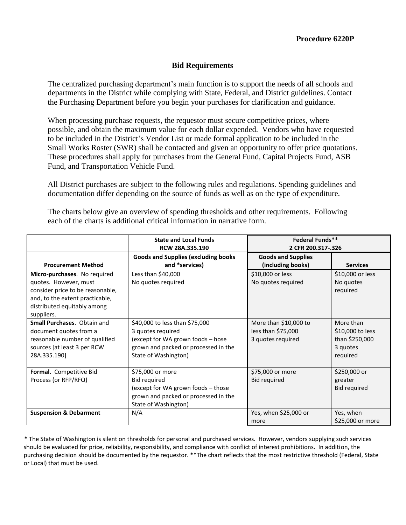#### **Bid Requirements**

The centralized purchasing department's main function is to support the needs of all schools and departments in the District while complying with State, Federal, and District guidelines. Contact the Purchasing Department before you begin your purchases for clarification and guidance.

When processing purchase requests, the requestor must secure competitive prices, where possible, and obtain the maximum value for each dollar expended. Vendors who have requested to be included in the District's Vendor List or made formal application to be included in the Small Works Roster (SWR) shall be contacted and given an opportunity to offer price quotations. These procedures shall apply for purchases from the General Fund, Capital Projects Fund, ASB Fund, and Transportation Vehicle Fund.

All District purchases are subject to the following rules and regulations. Spending guidelines and documentation differ depending on the source of funds as well as on the type of expenditure.

|                                                                                                                                                                           | <b>State and Local Funds</b><br><b>RCW 28A.335.190</b>                                                                                                   | <b>Federal Funds**</b><br>2 CFR 200.317-.326                     |                                                                         |
|---------------------------------------------------------------------------------------------------------------------------------------------------------------------------|----------------------------------------------------------------------------------------------------------------------------------------------------------|------------------------------------------------------------------|-------------------------------------------------------------------------|
| <b>Procurement Method</b>                                                                                                                                                 | <b>Goods and Supplies (excluding books</b><br>and *services)                                                                                             | <b>Goods and Supplies</b><br>(including books)                   | <b>Services</b>                                                         |
| Micro-purchases. No required<br>quotes. However, must<br>consider price to be reasonable,<br>and, to the extent practicable,<br>distributed equitably among<br>suppliers. | Less than \$40,000<br>No quotes required                                                                                                                 | \$10,000 or less<br>No quotes required                           | \$10,000 or less<br>No quotes<br>required                               |
| <b>Small Purchases. Obtain and</b><br>document quotes from a<br>reasonable number of qualified<br>sources [at least 3 per RCW<br>28A.335.190]                             | \$40,000 to less than \$75,000<br>3 quotes required<br>(except for WA grown foods - hose<br>grown and packed or processed in the<br>State of Washington) | More than \$10,000 to<br>less than \$75,000<br>3 quotes required | More than<br>\$10,000 to less<br>than \$250,000<br>3 quotes<br>required |
| Formal. Competitive Bid<br>Process (or RFP/RFQ)                                                                                                                           | \$75,000 or more<br>Bid required<br>(except for WA grown foods - those<br>grown and packed or processed in the<br>State of Washington)                   | \$75,000 or more<br><b>Bid required</b>                          | \$250,000 or<br>greater<br><b>Bid required</b>                          |
| <b>Suspension &amp; Debarment</b>                                                                                                                                         | N/A                                                                                                                                                      | Yes, when \$25,000 or<br>more                                    | Yes, when<br>\$25,000 or more                                           |

The charts below give an overview of spending thresholds and other requirements. Following each of the charts is additional critical information in narrative form.

**\*** The State of Washington is silent on thresholds for personal and purchased services. However, vendors supplying such services should be evaluated for price, reliability, responsibility, and compliance with conflict of interest prohibitions. In addition, the purchasing decision should be documented by the requestor. \*\*The chart reflects that the most restrictive threshold (Federal, State or Local) that must be used.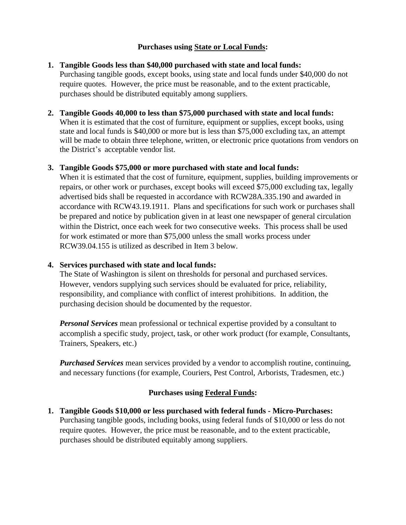### **Purchases using State or Local Funds:**

## **1. Tangible Goods less than \$40,000 purchased with state and local funds:**

Purchasing tangible goods, except books, using state and local funds under \$40,000 do not require quotes. However, the price must be reasonable, and to the extent practicable, purchases should be distributed equitably among suppliers.

### **2. Tangible Goods 40,000 to less than \$75,000 purchased with state and local funds:**

When it is estimated that the cost of furniture, equipment or supplies, except books, using state and local funds is \$40,000 or more but is less than \$75,000 excluding tax, an attempt will be made to obtain three telephone, written, or electronic price quotations from vendors on the District's acceptable vendor list.

### **3. Tangible Goods \$75,000 or more purchased with state and local funds:**

When it is estimated that the cost of furniture, equipment, supplies, building improvements or repairs, or other work or purchases, except books will exceed \$75,000 excluding tax, legally advertised bids shall be requested in accordance with RCW28A.335.190 and awarded in accordance with RCW43.19.1911. Plans and specifications for such work or purchases shall be prepared and notice by publication given in at least one newspaper of general circulation within the District, once each week for two consecutive weeks. This process shall be used for work estimated or more than \$75,000 unless the small works process under RCW39.04.155 is utilized as described in Item 3 below.

### **4. Services purchased with state and local funds:**

The State of Washington is silent on thresholds for personal and purchased services. However, vendors supplying such services should be evaluated for price, reliability, responsibility, and compliance with conflict of interest prohibitions. In addition, the purchasing decision should be documented by the requestor.

*Personal Services* mean professional or technical expertise provided by a consultant to accomplish a specific study, project, task, or other work product (for example, Consultants, Trainers, Speakers, etc.)

*Purchased Services* mean services provided by a vendor to accomplish routine, continuing, and necessary functions (for example, Couriers, Pest Control, Arborists, Tradesmen, etc.)

# **Purchases using Federal Funds:**

**1. Tangible Goods \$10,000 or less purchased with federal funds - Micro-Purchases:**  Purchasing tangible goods, including books, using federal funds of \$10,000 or less do not require quotes. However, the price must be reasonable, and to the extent practicable, purchases should be distributed equitably among suppliers.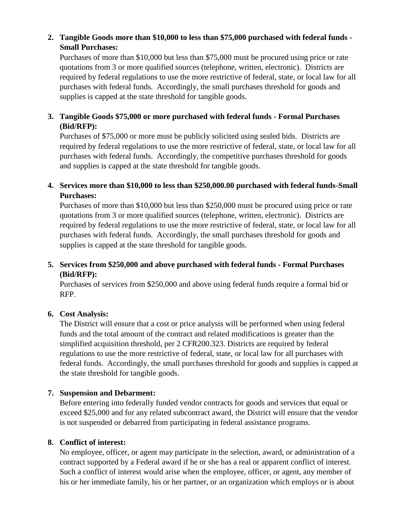# **2. Tangible Goods more than \$10,000 to less than \$75,000 purchased with federal funds - Small Purchases:**

Purchases of more than \$10,000 but less than \$75,000 must be procured using price or rate quotations from 3 or more qualified sources (telephone, written, electronic). Districts are required by federal regulations to use the more restrictive of federal, state, or local law for all purchases with federal funds. Accordingly, the small purchases threshold for goods and supplies is capped at the state threshold for tangible goods.

# **3. Tangible Goods \$75,000 or more purchased with federal funds - Formal Purchases (Bid/RFP):**

Purchases of \$75,000 or more must be publicly solicited using sealed bids. Districts are required by federal regulations to use the more restrictive of federal, state, or local law for all purchases with federal funds. Accordingly, the competitive purchases threshold for goods and supplies is capped at the state threshold for tangible goods.

## **4. Services more than \$10,000 to less than \$250,000.00 purchased with federal funds-Small Purchases:**

Purchases of more than \$10,000 but less than \$250,000 must be procured using price or rate quotations from 3 or more qualified sources (telephone, written, electronic). Districts are required by federal regulations to use the more restrictive of federal, state, or local law for all purchases with federal funds. Accordingly, the small purchases threshold for goods and supplies is capped at the state threshold for tangible goods.

## **5. Services from \$250,000 and above purchased with federal funds - Formal Purchases (Bid/RFP):**

Purchases of services from \$250,000 and above using federal funds require a formal bid or RFP.

# **6. Cost Analysis:**

The District will ensure that a cost or price analysis will be performed when using federal funds and the total amount of the contract and related modifications is greater than the simplified acquisition threshold, per 2 CFR200.323. Districts are required by federal regulations to use the more restrictive of federal, state, or local law for all purchases with federal funds. Accordingly, the small purchases threshold for goods and supplies is capped at the state threshold for tangible goods.

### **7. Suspension and Debarment:**

Before entering into federally funded vendor contracts for goods and services that equal or exceed \$25,000 and for any related subcontract award, the District will ensure that the vendor is not suspended or debarred from participating in federal assistance programs.

# **8. Conflict of interest:**

No employee, officer, or agent may participate in the selection, award, or administration of a contract supported by a Federal award if he or she has a real or apparent conflict of interest. Such a conflict of interest would arise when the employee, officer, or agent, any member of his or her immediate family, his or her partner, or an organization which employs or is about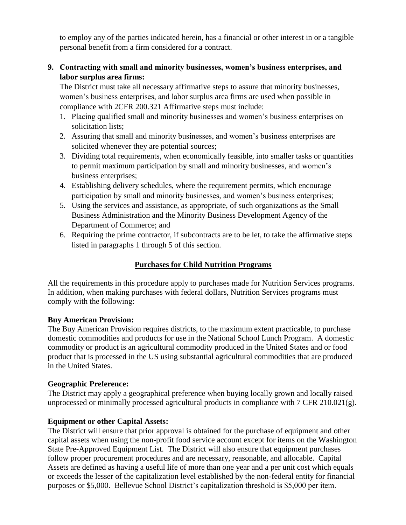to employ any of the parties indicated herein, has a financial or other interest in or a tangible personal benefit from a firm considered for a contract.

## **9. Contracting with small and minority businesses, women's business enterprises, and labor surplus area firms:**

The District must take all necessary affirmative steps to assure that minority businesses, women's business enterprises, and labor surplus area firms are used when possible in compliance with 2CFR 200.321 Affirmative steps must include:

- 1. Placing qualified small and minority businesses and women's business enterprises on solicitation lists;
- 2. Assuring that small and minority businesses, and women's business enterprises are solicited whenever they are potential sources;
- 3. Dividing total requirements, when economically feasible, into smaller tasks or quantities to permit maximum participation by small and minority businesses, and women's business enterprises;
- 4. Establishing delivery schedules, where the requirement permits, which encourage participation by small and minority businesses, and women's business enterprises;
- 5. Using the services and assistance, as appropriate, of such organizations as the Small Business Administration and the Minority Business Development Agency of the Department of Commerce; and
- 6. Requiring the prime contractor, if subcontracts are to be let, to take the affirmative steps listed in paragraphs 1 through 5 of this section.

# **Purchases for Child Nutrition Programs**

All the requirements in this procedure apply to purchases made for Nutrition Services programs. In addition, when making purchases with federal dollars, Nutrition Services programs must comply with the following:

### **Buy American Provision:**

The Buy American Provision requires districts, to the maximum extent practicable, to purchase domestic commodities and products for use in the National School Lunch Program. A domestic commodity or product is an agricultural commodity produced in the United States and or food product that is processed in the US using substantial agricultural commodities that are produced in the United States.

### **Geographic Preference:**

The District may apply a geographical preference when buying locally grown and locally raised unprocessed or minimally processed agricultural products in compliance with 7 CFR 210.021(g).

# **Equipment or other Capital Assets:**

The District will ensure that prior approval is obtained for the purchase of equipment and other capital assets when using the non-profit food service account except for items on the Washington State Pre-Approved Equipment List. The District will also ensure that equipment purchases follow proper procurement procedures and are necessary, reasonable, and allocable. Capital Assets are defined as having a useful life of more than one year and a per unit cost which equals or exceeds the lesser of the capitalization level established by the non-federal entity for financial purposes or \$5,000. Bellevue School District's capitalization threshold is \$5,000 per item.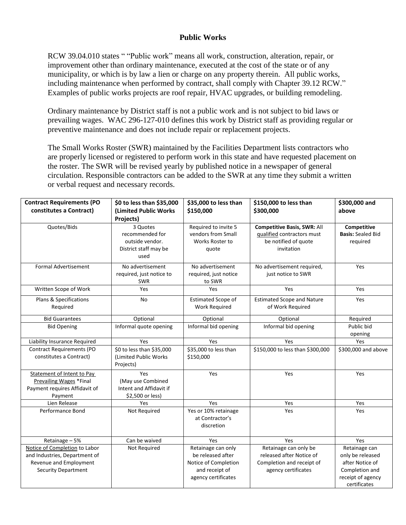### **Public Works**

RCW 39.04.010 states " "Public work" means all work, construction, alteration, repair, or improvement other than ordinary maintenance, executed at the cost of the state or of any municipality, or which is by law a lien or charge on any property therein. All public works, including maintenance when performed by contract, shall comply with Chapter 39.12 RCW." Examples of public works projects are roof repair, HVAC upgrades, or building remodeling.

Ordinary maintenance by District staff is not a public work and is not subject to bid laws or prevailing wages. WAC 296-127-010 defines this work by District staff as providing regular or preventive maintenance and does not include repair or replacement projects.

The Small Works Roster (SWR) maintained by the Facilities Department lists contractors who are properly licensed or registered to perform work in this state and have requested placement on the roster. The SWR will be revised yearly by published notice in a newspaper of general circulation. Responsible contractors can be added to the SWR at any time they submit a written or verbal request and necessary records.

| <b>Contract Requirements (PO</b><br>constitutes a Contract)                                                            | \$0 to less than \$35,000<br>(Limited Public Works<br>Projects)                 | \$35,000 to less than<br>\$150,000                                                                       | \$150,000 to less than<br>\$300,000                                                                    | \$300,000 and<br>above                                                                      |
|------------------------------------------------------------------------------------------------------------------------|---------------------------------------------------------------------------------|----------------------------------------------------------------------------------------------------------|--------------------------------------------------------------------------------------------------------|---------------------------------------------------------------------------------------------|
| Quotes/Bids                                                                                                            | 3 Quotes<br>recommended for<br>outside vendor.<br>District staff may be<br>used | Required to invite 5<br>vendors from Small<br>Works Roster to<br>quote                                   | <b>Competitive Basis, SWR: All</b><br>qualified contractors must<br>be notified of quote<br>invitation | Competitive<br><b>Basis: Sealed Bid</b><br>required                                         |
| <b>Formal Advertisement</b>                                                                                            | No advertisement<br>required, just notice to<br><b>SWR</b>                      | No advertisement<br>required, just notice<br>to SWR                                                      | No advertisement required,<br>just notice to SWR                                                       | Yes                                                                                         |
| Written Scope of Work                                                                                                  | Yes                                                                             | Yes                                                                                                      | Yes                                                                                                    | Yes                                                                                         |
| Plans & Specifications<br>Required                                                                                     | No                                                                              | <b>Estimated Scope of</b><br><b>Work Required</b>                                                        | <b>Estimated Scope and Nature</b><br>of Work Required                                                  | Yes                                                                                         |
| <b>Bid Guarantees</b>                                                                                                  | Optional                                                                        | Optional                                                                                                 | Optional                                                                                               | Required                                                                                    |
| <b>Bid Opening</b>                                                                                                     | Informal quote opening                                                          | Informal bid opening                                                                                     | Informal bid opening                                                                                   | Public bid<br>opening                                                                       |
| Liability Insurance Required                                                                                           | Yes                                                                             | Yes                                                                                                      | Yes                                                                                                    | Yes                                                                                         |
| <b>Contract Requirements (PO</b><br>constitutes a Contract)                                                            | \$0 to less than \$35,000<br>(Limited Public Works<br>Projects)                 | \$35,000 to less than<br>\$150,000                                                                       | \$150,000 to less than \$300,000                                                                       | \$300,000 and above                                                                         |
| Statement of Intent to Pay<br>Prevailing Wages *Final<br>Payment requires Affidavit of<br>Payment                      | Yes<br>(May use Combined<br>Intent and Affidavit if<br>\$2,500 or less)         | Yes                                                                                                      | Yes                                                                                                    | Yes                                                                                         |
| Lien Release                                                                                                           | Yes                                                                             | Yes                                                                                                      | Yes                                                                                                    | Yes                                                                                         |
| Performance Bond                                                                                                       | Not Required                                                                    | Yes or 10% retainage<br>at Contractor's<br>discretion                                                    | Yes                                                                                                    | Yes                                                                                         |
| Retainage - 5%                                                                                                         | Can be waived                                                                   | Yes                                                                                                      | Yes                                                                                                    | Yes                                                                                         |
| Notice of Completion to Labor<br>and Industries, Department of<br>Revenue and Employment<br><b>Security Department</b> | Not Required                                                                    | Retainage can only<br>be released after<br>Notice of Completion<br>and receipt of<br>agency certificates | Retainage can only be<br>released after Notice of<br>Completion and receipt of<br>agency certificates  | Retainage can<br>only be released<br>after Notice of<br>Completion and<br>receipt of agency |
|                                                                                                                        |                                                                                 |                                                                                                          |                                                                                                        | certificates                                                                                |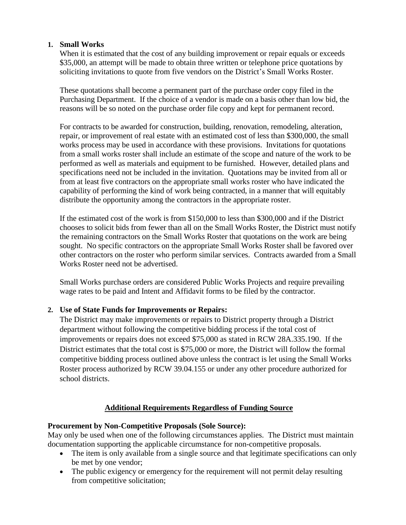### **1. Small Works**

When it is estimated that the cost of any building improvement or repair equals or exceeds \$35,000, an attempt will be made to obtain three written or telephone price quotations by soliciting invitations to quote from five vendors on the District's Small Works Roster.

These quotations shall become a permanent part of the purchase order copy filed in the Purchasing Department. If the choice of a vendor is made on a basis other than low bid, the reasons will be so noted on the purchase order file copy and kept for permanent record.

For contracts to be awarded for construction, building, renovation, remodeling, alteration, repair, or improvement of real estate with an estimated cost of less than \$300,000, the small works process may be used in accordance with these provisions. Invitations for quotations from a small works roster shall include an estimate of the scope and nature of the work to be performed as well as materials and equipment to be furnished. However, detailed plans and specifications need not be included in the invitation. Quotations may be invited from all or from at least five contractors on the appropriate small works roster who have indicated the capability of performing the kind of work being contracted, in a manner that will equitably distribute the opportunity among the contractors in the appropriate roster.

If the estimated cost of the work is from \$150,000 to less than \$300,000 and if the District chooses to solicit bids from fewer than all on the Small Works Roster, the District must notify the remaining contractors on the Small Works Roster that quotations on the work are being sought. No specific contractors on the appropriate Small Works Roster shall be favored over other contractors on the roster who perform similar services. Contracts awarded from a Small Works Roster need not be advertised.

Small Works purchase orders are considered Public Works Projects and require prevailing wage rates to be paid and Intent and Affidavit forms to be filed by the contractor.

### **2. Use of State Funds for Improvements or Repairs:**

The District may make improvements or repairs to District property through a District department without following the competitive bidding process if the total cost of improvements or repairs does not exceed \$75,000 as stated in RCW 28A.335.190. If the District estimates that the total cost is \$75,000 or more, the District will follow the formal competitive bidding process outlined above unless the contract is let using the Small Works Roster process authorized by RCW 39.04.155 or under any other procedure authorized for school districts.

### **Additional Requirements Regardless of Funding Source**

### **Procurement by Non-Competitive Proposals (Sole Source):**

May only be used when one of the following circumstances applies. The District must maintain documentation supporting the applicable circumstance for non-competitive proposals.

- The item is only available from a single source and that legitimate specifications can only be met by one vendor;
- The public exigency or emergency for the requirement will not permit delay resulting from competitive solicitation;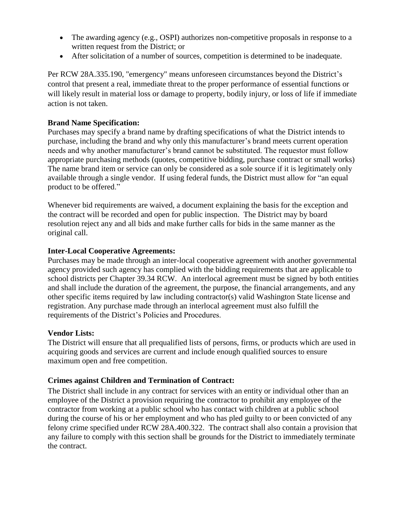- The awarding agency (e.g., OSPI) authorizes non-competitive proposals in response to a written request from the District; or
- After solicitation of a number of sources, competition is determined to be inadequate.

Per RCW 28A.335.190, "emergency" means unforeseen circumstances beyond the District's control that present a real, immediate threat to the proper performance of essential functions or will likely result in material loss or damage to property, bodily injury, or loss of life if immediate action is not taken.

### **Brand Name Specification:**

Purchases may specify a brand name by drafting specifications of what the District intends to purchase, including the brand and why only this manufacturer's brand meets current operation needs and why another manufacturer's brand cannot be substituted. The requestor must follow appropriate purchasing methods (quotes, competitive bidding, purchase contract or small works) The name brand item or service can only be considered as a sole source if it is legitimately only available through a single vendor. If using federal funds, the District must allow for "an equal product to be offered."

Whenever bid requirements are waived, a document explaining the basis for the exception and the contract will be recorded and open for public inspection. The District may by board resolution reject any and all bids and make further calls for bids in the same manner as the original call.

### **Inter-Local Cooperative Agreements:**

Purchases may be made through an inter-local cooperative agreement with another governmental agency provided such agency has complied with the bidding requirements that are applicable to school districts per Chapter 39.34 RCW. An interlocal agreement must be signed by both entities and shall include the duration of the agreement, the purpose, the financial arrangements, and any other specific items required by law including contractor(s) valid Washington State license and registration. Any purchase made through an interlocal agreement must also fulfill the requirements of the District's Policies and Procedures.

### **Vendor Lists:**

The District will ensure that all prequalified lists of persons, firms, or products which are used in acquiring goods and services are current and include enough qualified sources to ensure maximum open and free competition.

### **Crimes against Children and Termination of Contract:**

The District shall include in any contract for services with an entity or individual other than an employee of the District a provision requiring the contractor to prohibit any employee of the contractor from working at a public school who has contact with children at a public school during the course of his or her employment and who has pled guilty to or been convicted of any felony crime specified under RCW 28A.400.322. The contract shall also contain a provision that any failure to comply with this section shall be grounds for the District to immediately terminate the contract.